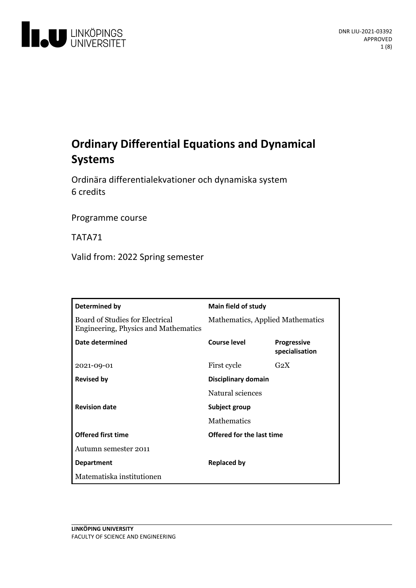

# **Ordinary DifferentialEquations and Dynamical Systems**

Ordinära differentialekvationer och dynamiska system 6 credits

Programme course

TATA71

Valid from: 2022 Spring semester

| Determined by                                                                  | Main field of study              |                                      |
|--------------------------------------------------------------------------------|----------------------------------|--------------------------------------|
| Board of Studies for Electrical<br><b>Engineering, Physics and Mathematics</b> | Mathematics, Applied Mathematics |                                      |
| Date determined                                                                | Course level                     | <b>Progressive</b><br>specialisation |
| 2021-09-01                                                                     | First cycle                      | $G_2X$                               |
| <b>Revised by</b>                                                              | Disciplinary domain              |                                      |
|                                                                                | Natural sciences                 |                                      |
| <b>Revision date</b>                                                           | Subject group                    |                                      |
|                                                                                | <b>Mathematics</b>               |                                      |
| <b>Offered first time</b>                                                      | Offered for the last time        |                                      |
| Autumn semester 2011                                                           |                                  |                                      |
| <b>Department</b>                                                              | <b>Replaced by</b>               |                                      |
| Matematiska institutionen                                                      |                                  |                                      |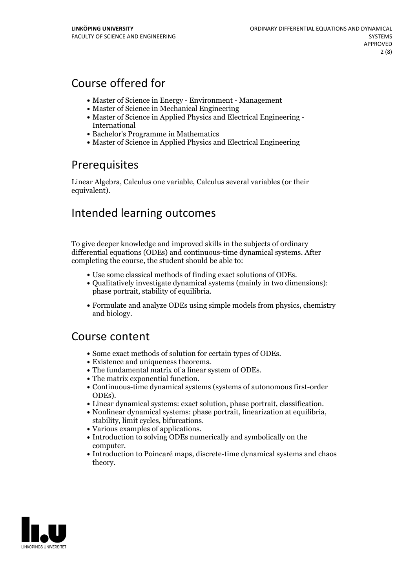## Course offered for

- Master of Science in Energy Environment Management
- Master of Science in Mechanical Engineering
- Master of Science in Applied Physics and Electrical Engineering International
- Bachelor's Programme in Mathematics
- Master of Science in Applied Physics and Electrical Engineering

## **Prerequisites**

Linear Algebra, Calculus one variable, Calculus several variables (or their equivalent).

## Intended learning outcomes

To give deeper knowledge and improved skills in the subjects of ordinary differential equations (ODEs) and continuous-time dynamical systems. After completing the course, the student should be able to:

- 
- Use some classical methods of finding exact solutions of ODEs. Qualitatively investigate dynamical systems (mainly in two dimensions): phase portrait, stability of equilibria.
- Formulate and analyze ODEs using simple models from physics, chemistry and biology.

## Course content

- 
- 
- 
- 
- Some exact methods of solution for certain types of ODEs.<br>
 Existence and uniqueness theorems.<br>
 The fundamental matrix of a linear system of ODEs.<br>
 The matrix exponential function.<br>
 Continuous-time dynamical syst
- 
- ODEs).<br>
 Linear dynamical systems: exact solution, phase portrait, classification.<br>
 Nonlinear dynamical systems: phase portrait, linearization at equilibria,<br>
stability, limit cycles, bifurcations.<br>
 Various examples o
- 
- 
- computer.<br>• Introduction to Poincaré maps, discrete-time dynamical systems and chaos theory.

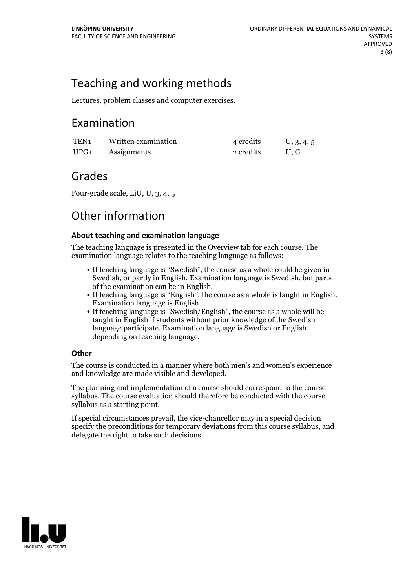## Teaching and working methods

Lectures, problem classes and computer exercises.

## Examination

| TEN <sub>1</sub> | Written examination | 4 credits | U, 3, 4, 5 |
|------------------|---------------------|-----------|------------|
| UPG1             | Assignments         | 2 credits | U.G        |

## Grades

Four-grade scale, LiU, U, 3, 4, 5

## Other information

### **About teaching and examination language**

The teaching language is presented in the Overview tab for each course. The examination language relates to the teaching language as follows:

- If teaching language is "Swedish", the course as a whole could be given in Swedish, or partly in English. Examination language is Swedish, but parts
- of the examination can be in English. If teaching language is "English", the course as <sup>a</sup> whole is taught in English. Examination language is English. If teaching language is "Swedish/English", the course as <sup>a</sup> whole will be
- taught in English if students without prior knowledge of the Swedish language participate. Examination language is Swedish or English depending on teaching language.

### **Other**

The course is conducted in a manner where both men's and women's experience and knowledge are made visible and developed.

The planning and implementation of a course should correspond to the course syllabus. The course evaluation should therefore be conducted with the course syllabus as a starting point.

If special circumstances prevail, the vice-chancellor may in a special decision specify the preconditions for temporary deviations from this course syllabus, and delegate the right to take such decisions.

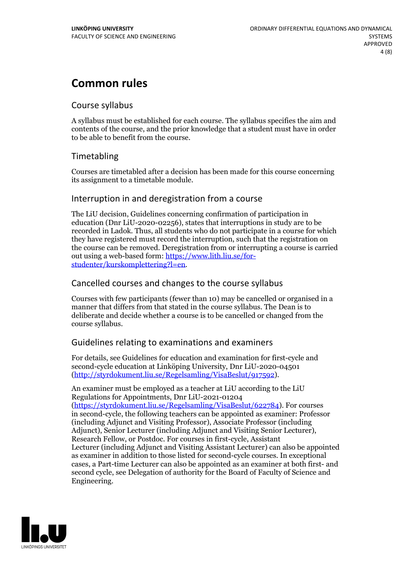## **Common rules**

### Course syllabus

A syllabus must be established for each course. The syllabus specifies the aim and contents of the course, and the prior knowledge that a student must have in order to be able to benefit from the course.

### Timetabling

Courses are timetabled after a decision has been made for this course concerning its assignment to a timetable module.

### Interruption in and deregistration from a course

The LiU decision, Guidelines concerning confirmation of participation in education (Dnr LiU-2020-02256), states that interruptions in study are to be recorded in Ladok. Thus, all students who do not participate in a course for which they have registered must record the interruption, such that the registration on the course can be removed. Deregistration from or interrupting a course is carried out using <sup>a</sup> web-based form: https://www.lith.liu.se/for- [studenter/kurskomplettering?l=en.](https://www.lith.liu.se/for-studenter/kurskomplettering?l=en)

### Cancelled coursesand changes to the course syllabus

Courses with few participants (fewer than 10) may be cancelled or organised in a manner that differs from that stated in the course syllabus. The Dean is to deliberate and decide whether a course is to be cancelled or changed from the course syllabus.

### Guidelines relating to examinations and examiners

For details, see Guidelines for education and examination for first-cycle and second-cycle education at Linköping University, Dnr LiU-2020-04501 [\(http://styrdokument.liu.se/Regelsamling/VisaBeslut/917592\)](http://styrdokument.liu.se/Regelsamling/VisaBeslut/917592).

An examiner must be employed as a teacher at LiU according to the LiU Regulations for Appointments, Dnr LiU-2021-01204 [\(https://styrdokument.liu.se/Regelsamling/VisaBeslut/622784](https://styrdokument.liu.se/Regelsamling/VisaBeslut/622784)). For courses in second-cycle, the following teachers can be appointed as examiner: Professor (including Adjunct and Visiting Professor), Associate Professor (including Adjunct), Senior Lecturer (including Adjunct and Visiting Senior Lecturer), Research Fellow, or Postdoc. For courses in first-cycle, Assistant Lecturer (including Adjunct and Visiting Assistant Lecturer) can also be appointed as examiner in addition to those listed for second-cycle courses. In exceptional cases, a Part-time Lecturer can also be appointed as an examiner at both first- and second cycle, see Delegation of authority for the Board of Faculty of Science and Engineering.

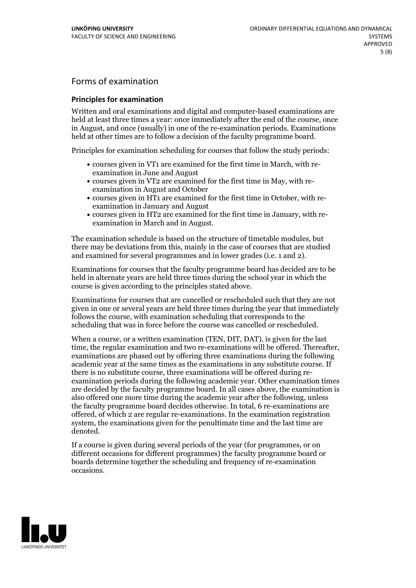## Forms of examination

#### **Principles for examination**

Written and oral examinations and digital and computer-based examinations are held at least three times a year: once immediately after the end of the course, once in August, and once (usually) in one of the re-examination periods. Examinations held at other times are to follow a decision of the faculty programme board.

Principles for examination scheduling for courses that follow the study periods:

- courses given in VT1 are examined for the first time in March, with re-examination in June and August
- courses given in VT2 are examined for the first time in May, with re-examination in August and October
- courses given in HT1 are examined for the first time in October, with re-examination in January and August
- courses given in HT2 are examined for the first time in January, with re-examination in March and in August.

The examination schedule is based on the structure of timetable modules, but there may be deviations from this, mainly in the case of courses that are studied and examined for several programmes and in lower grades (i.e. 1 and 2).

Examinations for courses that the faculty programme board has decided are to be held in alternate years are held three times during the school year in which the course is given according to the principles stated above.

Examinations for courses that are cancelled orrescheduled such that they are not given in one or several years are held three times during the year that immediately follows the course, with examination scheduling that corresponds to the scheduling that was in force before the course was cancelled or rescheduled.

When a course, or a written examination (TEN, DIT, DAT), is given for the last time, the regular examination and two re-examinations will be offered. Thereafter, examinations are phased out by offering three examinations during the following academic year at the same times as the examinations in any substitute course. If there is no substitute course, three examinations will be offered during re- examination periods during the following academic year. Other examination times are decided by the faculty programme board. In all cases above, the examination is also offered one more time during the academic year after the following, unless the faculty programme board decides otherwise. In total, 6 re-examinations are offered, of which 2 are regular re-examinations. In the examination registration system, the examinations given for the penultimate time and the last time are denoted.

If a course is given during several periods of the year (for programmes, or on different occasions for different programmes) the faculty programme board or boards determine together the scheduling and frequency of re-examination occasions.

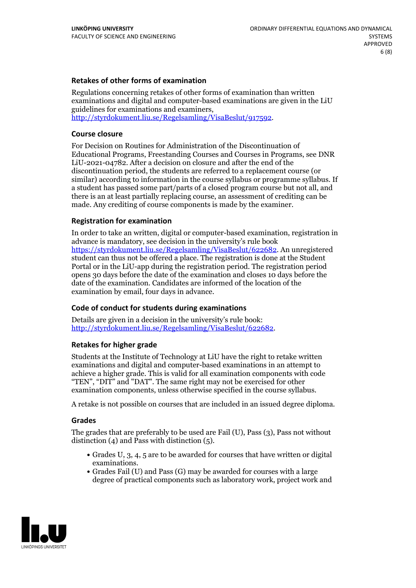#### **Retakes of other forms of examination**

Regulations concerning retakes of other forms of examination than written examinations and digital and computer-based examinations are given in the LiU guidelines for examinations and examiners, [http://styrdokument.liu.se/Regelsamling/VisaBeslut/917592.](http://styrdokument.liu.se/Regelsamling/VisaBeslut/917592)

#### **Course closure**

For Decision on Routines for Administration of the Discontinuation of Educational Programs, Freestanding Courses and Courses in Programs, see DNR LiU-2021-04782. After a decision on closure and after the end of the discontinuation period, the students are referred to a replacement course (or similar) according to information in the course syllabus or programme syllabus. If a student has passed some part/parts of a closed program course but not all, and there is an at least partially replacing course, an assessment of crediting can be made. Any crediting of course components is made by the examiner.

#### **Registration for examination**

In order to take an written, digital or computer-based examination, registration in advance is mandatory, see decision in the university's rule book [https://styrdokument.liu.se/Regelsamling/VisaBeslut/622682.](https://styrdokument.liu.se/Regelsamling/VisaBeslut/622682) An unregistered student can thus not be offered a place. The registration is done at the Student Portal or in the LiU-app during the registration period. The registration period opens 30 days before the date of the examination and closes 10 days before the date of the examination. Candidates are informed of the location of the examination by email, four days in advance.

### **Code of conduct for students during examinations**

Details are given in a decision in the university's rule book: <http://styrdokument.liu.se/Regelsamling/VisaBeslut/622682>.

#### **Retakes for higher grade**

Students at the Institute of Technology at LiU have the right to retake written examinations and digital and computer-based examinations in an attempt to achieve a higher grade. This is valid for all examination components with code "TEN", "DIT" and "DAT". The same right may not be exercised for other examination components, unless otherwise specified in the course syllabus.

A retake is not possible on courses that are included in an issued degree diploma.

#### **Grades**

The grades that are preferably to be used are Fail (U), Pass (3), Pass not without distinction  $(4)$  and Pass with distinction  $(5)$ .

- Grades U, 3, 4, 5 are to be awarded for courses that have written or digital examinations.<br>• Grades Fail (U) and Pass (G) may be awarded for courses with a large
- degree of practical components such as laboratory work, project work and

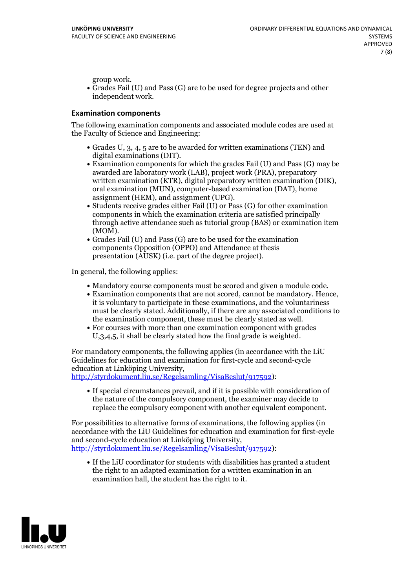group work.<br>• Grades Fail (U) and Pass (G) are to be used for degree projects and other independent work.

#### **Examination components**

The following examination components and associated module codes are used at the Faculty of Science and Engineering:

- Grades U, 3, 4, 5 are to be awarded for written examinations (TEN) and
- digital examinations (DIT).<br>• Examination components for which the grades Fail (U) and Pass (G) may be awarded are laboratory work (LAB), project work (PRA), preparatory written examination (KTR), digital preparatory written examination (DIK), oral examination (MUN), computer-based examination (DAT), home
- assignment (HEM), and assignment (UPG).<br>• Students receive grades either Fail (U) or Pass (G) for other examination components in which the examination criteria are satisfied principally through active attendance such as tutorial group (BAS) or examination item
- (MOM).<br>• Grades Fail (U) and Pass (G) are to be used for the examination components Opposition (OPPO) and Attendance at thesis presentation (AUSK) (i.e. part of the degree project).

In general, the following applies:

- 
- Mandatory course components must be scored and given <sup>a</sup> module code. Examination components that are not scored, cannot be mandatory. Hence, it is voluntary to participate in these examinations, and the voluntariness must be clearly stated. Additionally, if there are any associated conditions to
- the examination component, these must be clearly stated as well.<br>• For courses with more than one examination component with grades U,3,4,5, it shall be clearly stated how the final grade is weighted.

For mandatory components, the following applies (in accordance with the LiU Guidelines for education and examination for first-cycle and second-cycle education at Linköping University,<br>[http://styrdokument.liu.se/Regelsamling/VisaBeslut/917592\)](http://styrdokument.liu.se/Regelsamling/VisaBeslut/917592):

If special circumstances prevail, and if it is possible with consideration of the nature of the compulsory component, the examiner may decide to replace the compulsory component with another equivalent component.

For possibilities to alternative forms of examinations, the following applies (in accordance with the LiU Guidelines for education and examination for first-cycle [http://styrdokument.liu.se/Regelsamling/VisaBeslut/917592\)](http://styrdokument.liu.se/Regelsamling/VisaBeslut/917592):

If the LiU coordinator for students with disabilities has granted a student the right to an adapted examination for a written examination in an examination hall, the student has the right to it.